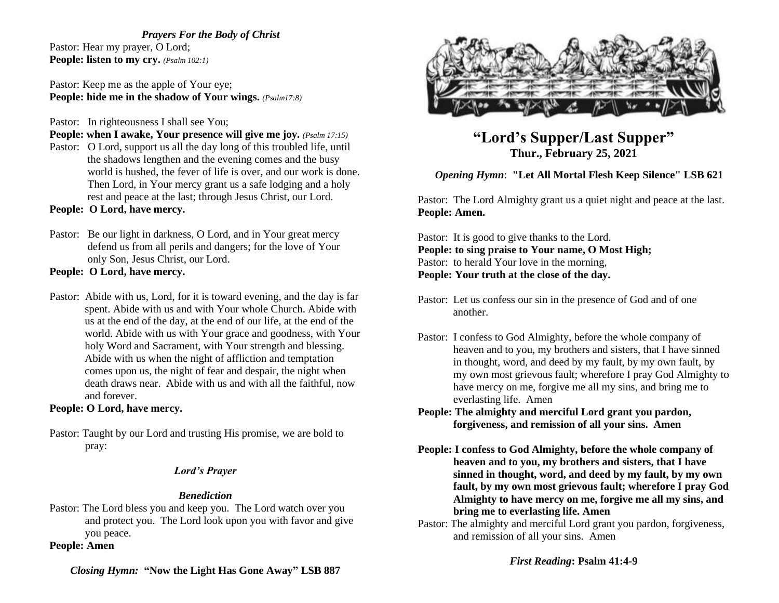*Prayers For the Body of Christ* Pastor: Hear my prayer, O Lord; **People: listen to my cry.** *(Psalm 102:1)*

Pastor: Keep me as the apple of Your eye; **People: hide me in the shadow of Your wings.** *(Psalm17:8)*

Pastor: In righteousness I shall see You;

**People: when I awake, Your presence will give me joy.** *(Psalm 17:15)* Pastor: O Lord, support us all the day long of this troubled life, until the shadows lengthen and the evening comes and the busy world is hushed, the fever of life is over, and our work is done. Then Lord, in Your mercy grant us a safe lodging and a holy rest and peace at the last; through Jesus Christ, our Lord.

**People: O Lord, have mercy.**

Pastor: Be our light in darkness, O Lord, and in Your great mercy defend us from all perils and dangers; for the love of Your only Son, Jesus Christ, our Lord.

**People: O Lord, have mercy.** 

Pastor: Abide with us, Lord, for it is toward evening, and the day is far spent. Abide with us and with Your whole Church. Abide with us at the end of the day, at the end of our life, at the end of the world. Abide with us with Your grace and goodness, with Your holy Word and Sacrament, with Your strength and blessing. Abide with us when the night of affliction and temptation comes upon us, the night of fear and despair, the night when death draws near. Abide with us and with all the faithful, now and forever.

# **People: O Lord, have mercy.**

Pastor: Taught by our Lord and trusting His promise, we are bold to pray:

## *Lord's Prayer*

# *Benediction*

Pastor: The Lord bless you and keep you. The Lord watch over you and protect you. The Lord look upon you with favor and give you peace.

**People: Amen**



**"Lord's Supper/Last Supper" Thur., February 25, 2021**

# *Opening Hymn*: **"Let All Mortal Flesh Keep Silence" LSB 621**

Pastor: The Lord Almighty grant us a quiet night and peace at the last. **People: Amen.**

Pastor: It is good to give thanks to the Lord. **People: to sing praise to Your name, O Most High;** Pastor: to herald Your love in the morning, **People: Your truth at the close of the day.** 

- Pastor: Let us confess our sin in the presence of God and of one another.
- Pastor: I confess to God Almighty, before the whole company of heaven and to you, my brothers and sisters, that I have sinned in thought, word, and deed by my fault, by my own fault, by my own most grievous fault; wherefore I pray God Almighty to have mercy on me, forgive me all my sins, and bring me to everlasting life. Amen
- **People: The almighty and merciful Lord grant you pardon, forgiveness, and remission of all your sins. Amen**
- **People: I confess to God Almighty, before the whole company of heaven and to you, my brothers and sisters, that I have sinned in thought, word, and deed by my fault, by my own fault, by my own most grievous fault; wherefore I pray God Almighty to have mercy on me, forgive me all my sins, and bring me to everlasting life. Amen**
- Pastor: The almighty and merciful Lord grant you pardon, forgiveness, and remission of all your sins. Amen